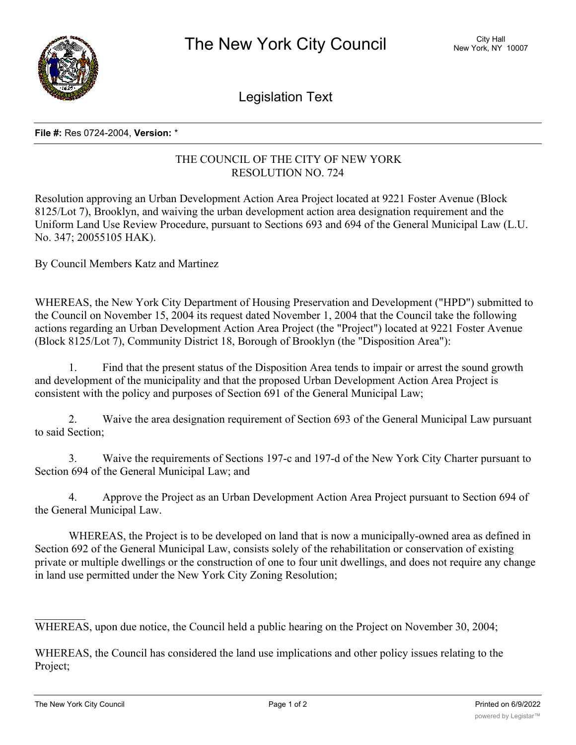

Legislation Text

## **File #:** Res 0724-2004, **Version:** \*

## THE COUNCIL OF THE CITY OF NEW YORK RESOLUTION NO. 724

Resolution approving an Urban Development Action Area Project located at 9221 Foster Avenue (Block 8125/Lot 7), Brooklyn, and waiving the urban development action area designation requirement and the Uniform Land Use Review Procedure, pursuant to Sections 693 and 694 of the General Municipal Law (L.U. No. 347; 20055105 HAK).

By Council Members Katz and Martinez

WHEREAS, the New York City Department of Housing Preservation and Development ("HPD") submitted to the Council on November 15, 2004 its request dated November 1, 2004 that the Council take the following actions regarding an Urban Development Action Area Project (the "Project") located at 9221 Foster Avenue (Block 8125/Lot 7), Community District 18, Borough of Brooklyn (the "Disposition Area"):

1. Find that the present status of the Disposition Area tends to impair or arrest the sound growth and development of the municipality and that the proposed Urban Development Action Area Project is consistent with the policy and purposes of Section 691 of the General Municipal Law;

2. Waive the area designation requirement of Section 693 of the General Municipal Law pursuant to said Section;

3. Waive the requirements of Sections 197-c and 197-d of the New York City Charter pursuant to Section 694 of the General Municipal Law; and

4. Approve the Project as an Urban Development Action Area Project pursuant to Section 694 of the General Municipal Law.

WHEREAS, the Project is to be developed on land that is now a municipally-owned area as defined in Section 692 of the General Municipal Law, consists solely of the rehabilitation or conservation of existing private or multiple dwellings or the construction of one to four unit dwellings, and does not require any change in land use permitted under the New York City Zoning Resolution;

WHEREAS, upon due notice, the Council held a public hearing on the Project on November 30, 2004;

WHEREAS, the Council has considered the land use implications and other policy issues relating to the Project;